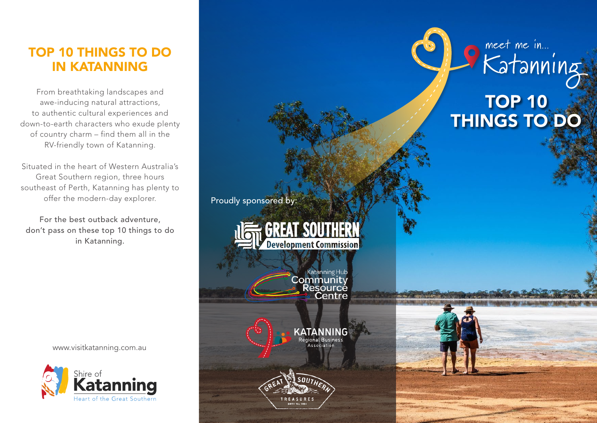# TOP 10 THINGS TO DO IN KATANNING

From breathtaking landscapes and awe-inducing natural attractions, to authentic cultural experiences and down-to-earth characters who exude plenty of country charm – find them all in the RV-friendly town of Katanning.

Situated in the heart of Western Australia's Great Southern region, three hours southeast of Perth, Katanning has plenty to offer the modern-day explorer.

For the best outback adventure, don't pass on these top 10 things to do in Katanning.

www.visitkatanning.com.au



**TOP 10** THINGS TO DO

Proudly sponsored by:

**GREAT SOUTHERN Development Commission** 

Katanning Hub<br>Community<br>Resource

**KATANNING**<br>Regional Business<br>Association

Centre